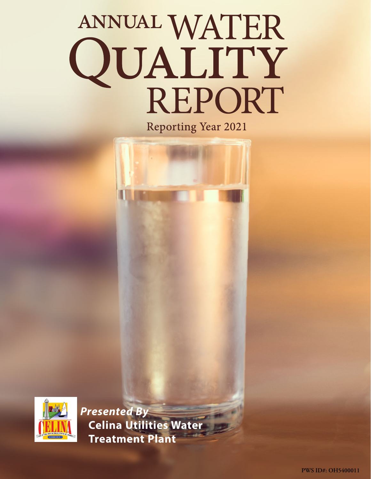# ANNUAL WATER<br>QUALITY<br>REPORT **Reporting Year 2021**



*Presented By* **Celina Utilities Water Treatment Plant**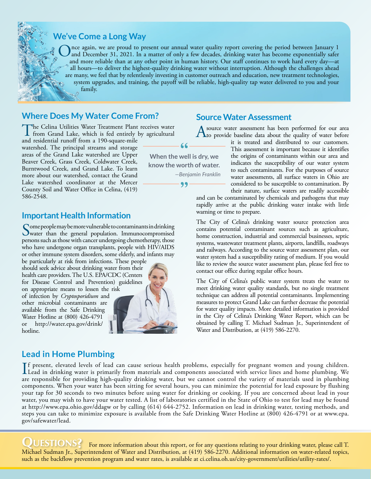

 $\sum$ nce again, we are proud to present our annual water quality report covering the period between January 1 and December 31, 2021. In a matter of only a few decades, drinking water has become exponentially safer and more reliable than at any other point in human history. Our staff continues to work hard every day—at all hours—to deliver the highest-quality drinking water without interruption. Although the challenges ahead are many, we feel that by relentlessly investing in customer outreach and education, new treatment technologies, system upgrades, and training, the payoff will be reliable, high-quality tap water delivered to you and your family.

## **Where Does My Water Come From?**

The Celina Utilities Water Treatment Plant receives water from Grand Lake, which is fed entirely by agricultural

and residential runoff from a 190-square-mile watershed. The principal streams and storage areas of the Grand Lake watershed are Upper Beaver Creek, Grass Creek, Coldwater Creek, Burntwood Creek, and Grand Lake. To learn more about our watershed, contact the Grand Lake watershed coordinator at the Mercer County Soil and Water Office in Celina, (419) 586-2548.

#### **Important Health Information**

Some people may be more vulnerable to contaminants in drinking<br>water than the general population. Immunocompromised<br>water as a because of a contaminant of the contamination persons such as those with cancer undergoing chemotherapy, those who have undergone organ transplants, people with HIV/AIDS or other immune system disorders, some elderly, and infants may

be particularly at risk from infections. These people should seek advice about drinking water from their health care providers. The U.S. EPA/CDC (Centers for Disease Control and Prevention) guidelines on appropriate means to lessen the risk of infection by *Cryptosporidium* and other microbial contaminants are available from the Safe Drinking Water Hotline at (800) 426-4791 or [http://water.epa.gov/drink/](http://water.epa.gov/drink/hotline) [hotline](http://water.epa.gov/drink/hotline).



# **Lead in Home Plumbing**

If present, elevated levels of lead can cause serious health problems, especially for pregnant women and young children.<br>Lead in drinking water is primarily from materials and components associated with service lines and h f present, elevated levels of lead can cause serious health problems, especially for pregnant women and young children. are responsible for providing high-quality drinking water, but we cannot control the variety of materials used in plumbing components. When your water has been sitting for several hours, you can minimize the potential for lead exposure by flushing your tap for 30 seconds to two minutes before using water for drinking or cooking. If you are concerned about lead in your water, you may wish to have your water tested. A list of laboratories certified in the State of Ohio to test for lead may be found at <http://www.epa.ohio.gov/ddagw>or by calling (614) 644-2752. Information on lead in drinking water, testing methods, and steps you can take to minimize exposure is available from the Safe Drinking Water Hotline at (800) 426-4791 or at [www.epa.](http://www.epa.gov/safewater/lead) [gov/safewater/lead](http://www.epa.gov/safewater/lead).

**QUESTIONS?** For more information about this report, or for any questions relating to your drinking water, please call T. Michael Sudman Jr., Superintendent of Water and Distribution, at (419) 586-2270. Additional information on water-related topics, such as the backflow prevention program and water rates, is available at [ci.celina.oh.us/city-government/utilities/utility-rates/](http://ci.celina.oh.us/city-government/utilities/utility-rates/).

## **Source Water Assessment**

A source water assessment has been performed for our area<br>to provide baseline data about the quality of water before

it is treated and distributed to our customers. This assessment is important because it identifies the origins of contaminants within our area and indicates the susceptibility of our water system to such contaminants. For the purposes of source water assessments, all surface waters in Ohio are considered to be susceptible to contamination. By their nature, surface waters are readily accessible

and can be contaminated by chemicals and pathogens that may rapidly arrive at the public drinking water intake with little warning or time to prepare.

The City of Celina's drinking water source protection area contains potential contaminant sources such as agriculture, home construction, industrial and commercial businesses, septic systems, wastewater treatment plants, airports, landfills, roadways and railways. According to the source water assessment plan, our water system had a susceptibility rating of medium. If you would like to review the source water assessment plan, please feel free to contact our office during regular office hours.

The City of Celina's public water system treats the water to meet drinking water quality standards, but no single treatment technique can address all potential contaminants. Implementing measures to protect Grand Lake can further decrease the potential for water quality impacts. More detailed information is provided in the City of Celina's Drinking Water Report, which can be obtained by calling T. Michael Sudman Jr., Superintendent of Water and Distribution, at (419) 586-2270.



**know the worth of water.**

99

*—Benjamin Franklin*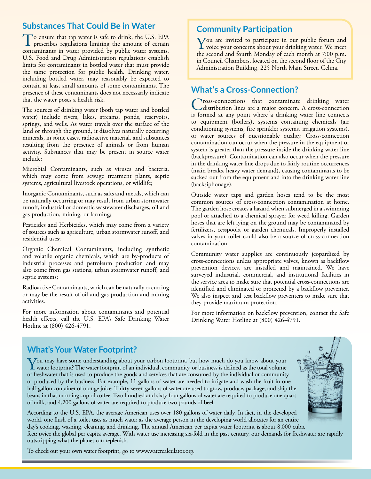# **Substances That Could Be in Water**

To ensure that tap water is safe to drink, the U.S. EPA prescribes regulations limiting the amount of certain contaminants in water provided by public water systems. U.S. Food and Drug Administration regulations establish limits for contaminants in bottled water that must provide the same protection for public health. Drinking water, including bottled water, may reasonably be expected to contain at least small amounts of some contaminants. The presence of these contaminants does not necessarily indicate that the water poses a health risk.

The sources of drinking water (both tap water and bottled water) include rivers, lakes, streams, ponds, reservoirs, springs, and wells. As water travels over the surface of the land or through the ground, it dissolves naturally occurring minerals, in some cases, radioactive material, and substances resulting from the presence of animals or from human activity. Substances that may be present in source water include:

Microbial Contaminants, such as viruses and bacteria, which may come from sewage treatment plants, septic systems, agricultural livestock operations, or wildlife;

Inorganic Contaminants, such as salts and metals, which can be naturally occurring or may result from urban stormwater runoff, industrial or domestic wastewater discharges, oil and gas production, mining, or farming;

Pesticides and Herbicides, which may come from a variety of sources such as agriculture, urban stormwater runoff, and residential uses;

Organic Chemical Contaminants, including synthetic and volatile organic chemicals, which are by-products of industrial processes and petroleum production and may also come from gas stations, urban stormwater runoff, and septic systems;

Radioactive Contaminants, which can be naturally occurring or may be the result of oil and gas production and mining activities.

For more information about contaminants and potential health effects, call the U.S. EPA's Safe Drinking Water Hotline at (800) 426-4791.

## **Community Participation**

You are invited to participate in our public forum and<br>voice your concerns about your drinking water. We meet the second and fourth Monday of each month at 7:00 p.m. in Council Chambers, located on the second floor of the City Administration Building, 225 North Main Street, Celina.

## **What's a Cross-Connection?**

Tross-connections that contaminate drinking water distribution lines are a major concern. A cross-connection is formed at any point where a drinking water line connects to equipment (boilers), systems containing chemicals (air conditioning systems, fire sprinkler systems, irrigation systems), or water sources of questionable quality. Cross-connection contamination can occur when the pressure in the equipment or system is greater than the pressure inside the drinking water line (backpressure). Contamination can also occur when the pressure in the drinking water line drops due to fairly routine occurrences (main breaks, heavy water demand), causing contaminants to be sucked out from the equipment and into the drinking water line (backsiphonage).

Outside water taps and garden hoses tend to be the most common sources of cross-connection contamination at home. The garden hose creates a hazard when submerged in a swimming pool or attached to a chemical sprayer for weed killing. Garden hoses that are left lying on the ground may be contaminated by fertilizers, cesspools, or garden chemicals. Improperly installed valves in your toilet could also be a source of cross-connection contamination.

Community water supplies are continuously jeopardized by cross-connections unless appropriate valves, known as backflow prevention devices, are installed and maintained. We have surveyed industrial, commercial, and institutional facilities in the service area to make sure that potential cross-connections are identified and eliminated or protected by a backflow preventer. We also inspect and test backflow preventers to make sure that they provide maximum protection.

For more information on backflow prevention, contact the Safe Drinking Water Hotline at (800) 426-4791.

# **What's Your Water Footprint?**

You may have some understanding about your carbon footprint, but how much do you know about your<br>water footprint? The water footprint of an individual, community, or business is defined as the total volume<br>of forehomeone h of freshwater that is used to produce the goods and services that are consumed by the individual or community or produced by the business. For example, 11 gallons of water are needed to irrigate and wash the fruit in one half-gallon container of orange juice. Thirty-seven gallons of water are used to grow, produce, package, and ship the beans in that morning cup of coffee. Two hundred and sixty-four gallons of water are required to produce one quart of milk, and 4,200 gallons of water are required to produce two pounds of beef.

According to the U.S. EPA, the average American uses over 180 gallons of water daily. In fact, in the developed world, one flush of a toilet uses as much water as the average person in the developing world allocates for an entire day's cooking, washing, cleaning, and drinking. The annual American per capita water footprint is about 8,000 cubic feet; twice the global per capita average. With water use increasing six-fold in the past century, our demands for freshwater are rapidly outstripping what the planet can replenish.

To check out your own water footprint, go to [www.watercalculator.org.](http://www.watercalculator.org)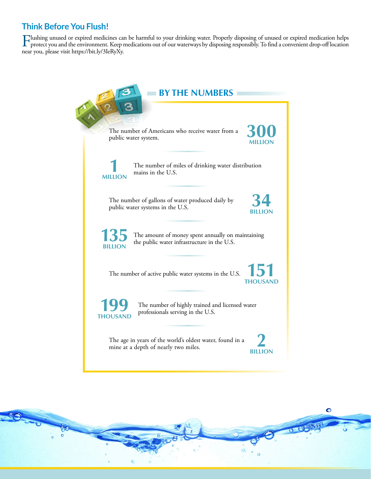# **Think Before You Flush!**

Flushing unused or expired medicines can be harmful to your drinking water. Properly disposing of unused or expired medication helps<br>protect you and the environment. Keep medications out of our waterways by disposing respo near you, please visit<https://bit.ly/3IeRyXy>.